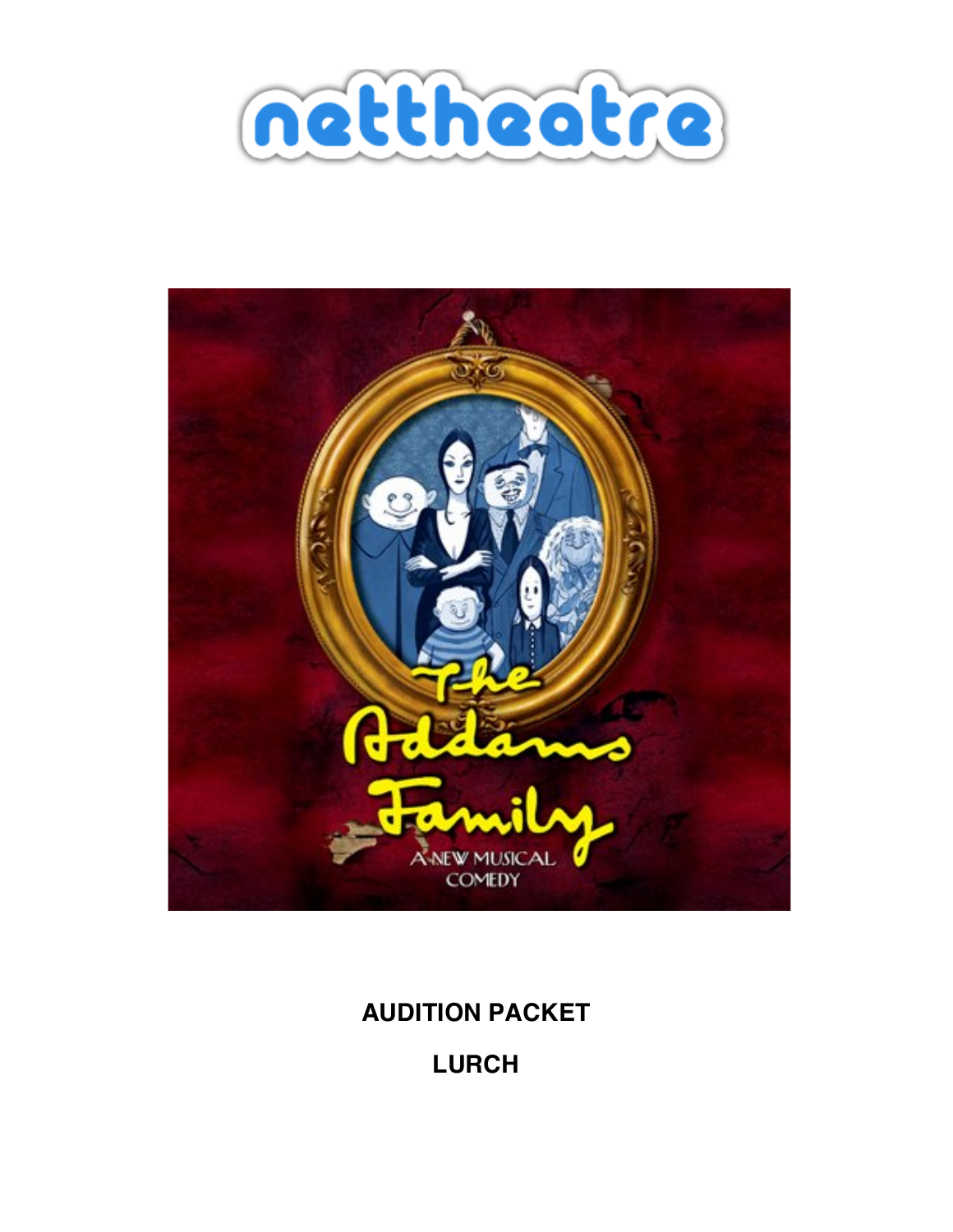



## **AUDITION PACKET**

**LURCH**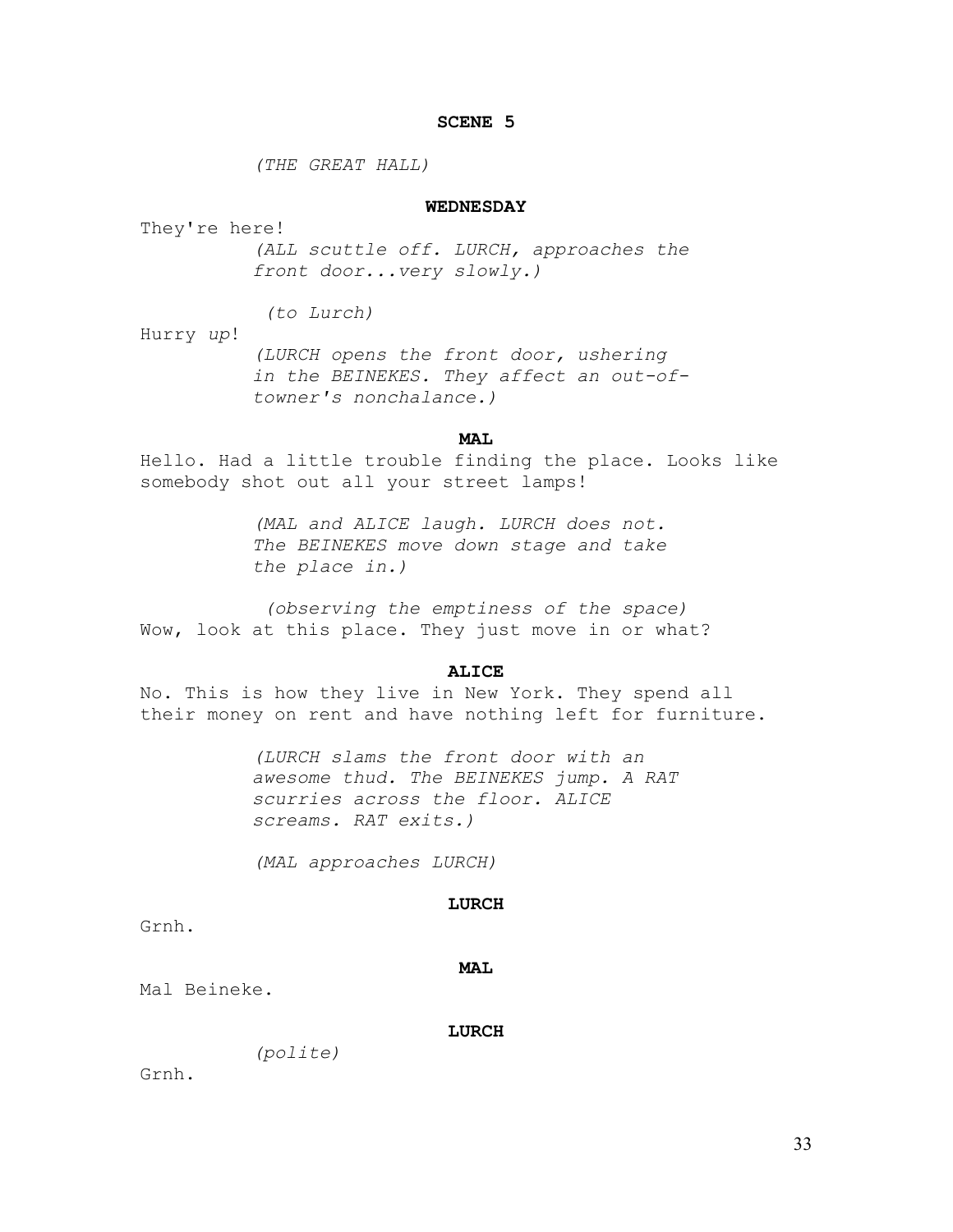## **SCENE 5**

*(THE GREAT HALL)* 

## **WEDNESDAY**

They're here!

*(ALL scuttle off. LURCH, approaches the front door...very slowly.)* 

 *(to Lurch)* 

Hurry *up*! *(LURCH opens the front door, ushering in the BEINEKES. They affect an out-oftowner's nonchalance.)* 

## **MAL**

Hello. Had a little trouble finding the place. Looks like somebody shot out all your street lamps!

> *(MAL and ALICE laugh. LURCH does not. The BEINEKES move down stage and take the place in.)*

 *(observing the emptiness of the space)*  Wow, look at this place. They just move in or what?

#### **ALICE**

No. This is how they live in New York. They spend all their money on rent and have nothing left for furniture.

> *(LURCH slams the front door with an awesome thud. The BEINEKES jump. A RAT scurries across the floor. ALICE screams. RAT exits.)*

*(MAL approaches LURCH)* 

#### **LURCH**

Grnh.

#### **MAL**

Mal Beineke.

#### **LURCH**

*(polite)* 

Grnh.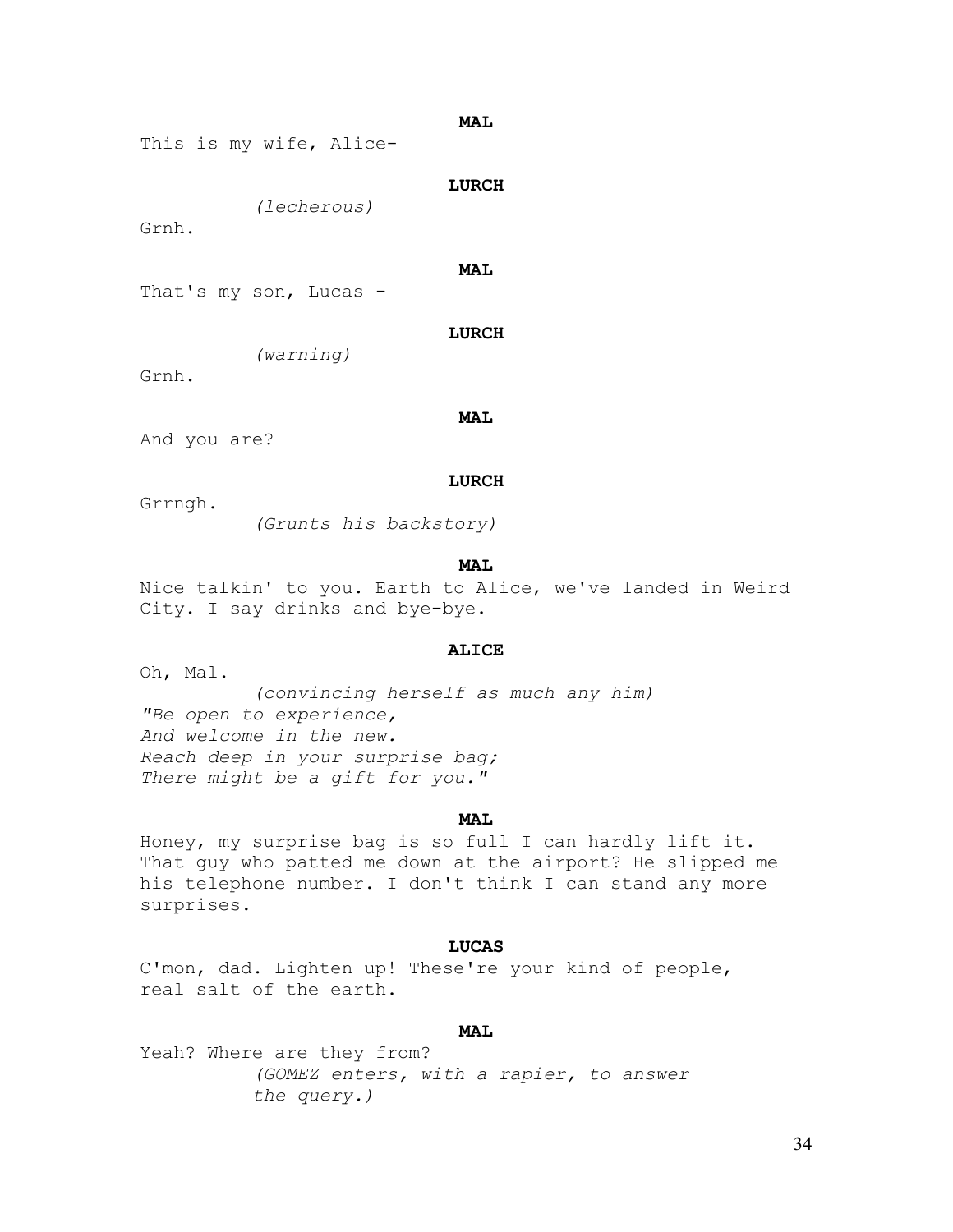**MAL** 

```
This is my wife, Alice-
```
**LURCH** 

*(lecherous)* 

Grnh.

**MAL** 

That's my son, Lucas -

**LURCH** 

*(warning)* 

Grnh.

**MAL** 

And you are?

#### **LURCH**

Grrngh.

*(Grunts his backstory)* 

#### **MAL**

Nice talkin' to you. Earth to Alice, we've landed in Weird City. I say drinks and bye-bye.

#### **ALICE**

Oh, Mal.

*(convincing herself as much any him) "Be open to experience, And welcome in the new. Reach deep in your surprise bag; There might be a gift for you."* 

#### **MAL**

Honey, my surprise bag is so full I can hardly lift it. That guy who patted me down at the airport? He slipped me his telephone number. I don't think I can stand any more surprises.

### **LUCAS**

C'mon, dad. Lighten up! These're your kind of people, real salt of the earth.

## **MAL**

Yeah? Where are they from? *(GOMEZ enters, with a rapier, to answer the query.)*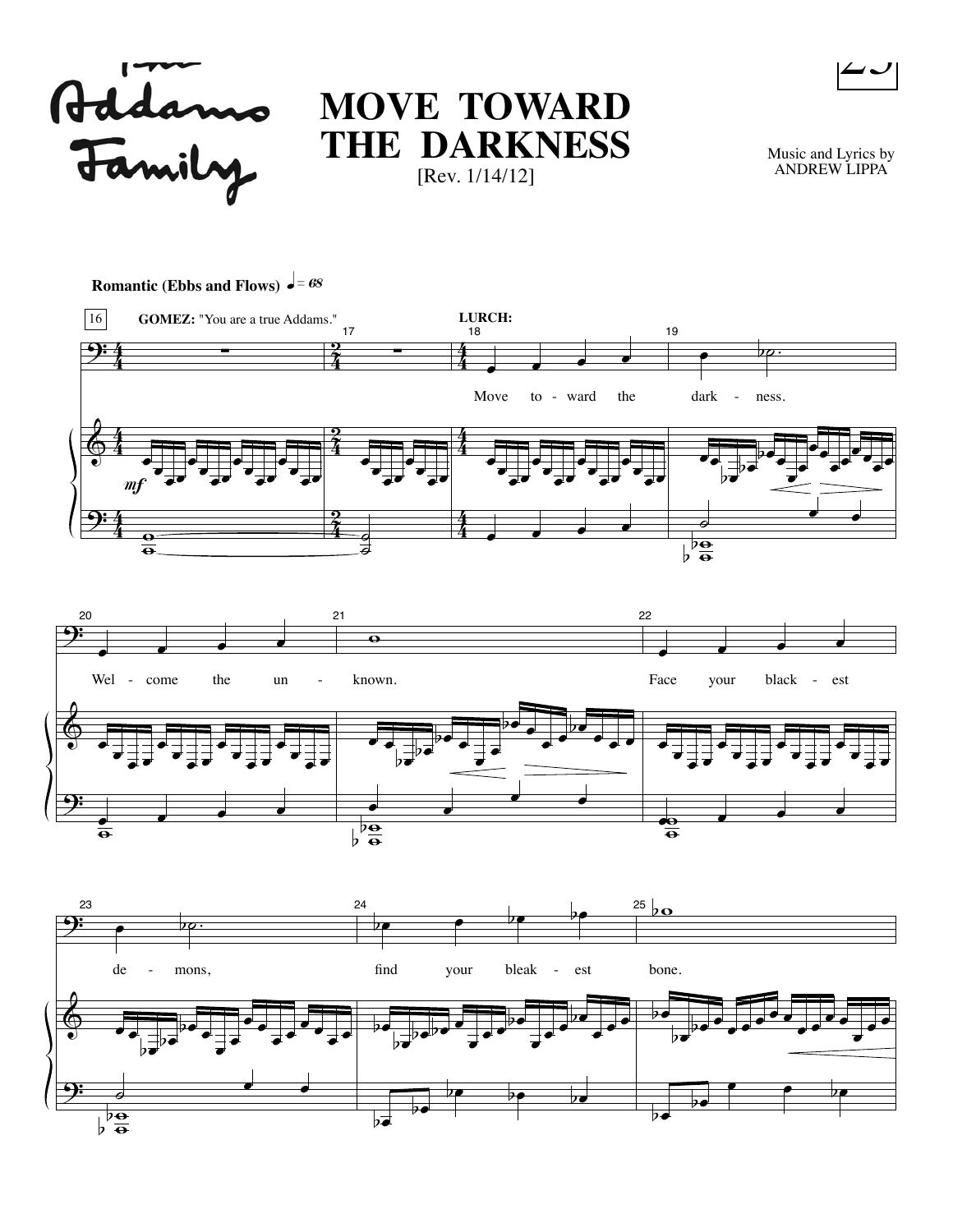

# **MOVE TOWARD THE DARKNESS** [Rev. 1/14/12]

Music and Lyrics by ANDREW LIPPA

 $\overline{\phantom{a}}$